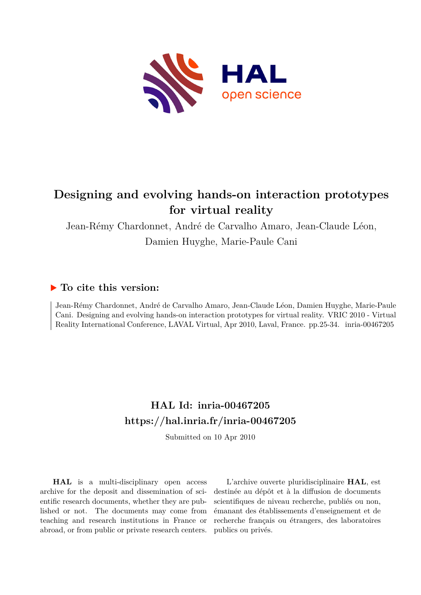

# **Designing and evolving hands-on interaction prototypes for virtual reality**

Jean-Rémy Chardonnet, André de Carvalho Amaro, Jean-Claude Léon,

Damien Huyghe, Marie-Paule Cani

# **To cite this version:**

Jean-Rémy Chardonnet, André de Carvalho Amaro, Jean-Claude Léon, Damien Huyghe, Marie-Paule Cani. Designing and evolving hands-on interaction prototypes for virtual reality. VRIC 2010 - Virtual Reality International Conference, LAVAL Virtual, Apr 2010, Laval, France. pp.25-34. inria-00467205

# **HAL Id: inria-00467205 <https://hal.inria.fr/inria-00467205>**

Submitted on 10 Apr 2010

**HAL** is a multi-disciplinary open access archive for the deposit and dissemination of scientific research documents, whether they are published or not. The documents may come from teaching and research institutions in France or abroad, or from public or private research centers.

L'archive ouverte pluridisciplinaire **HAL**, est destinée au dépôt et à la diffusion de documents scientifiques de niveau recherche, publiés ou non, émanant des établissements d'enseignement et de recherche français ou étrangers, des laboratoires publics ou privés.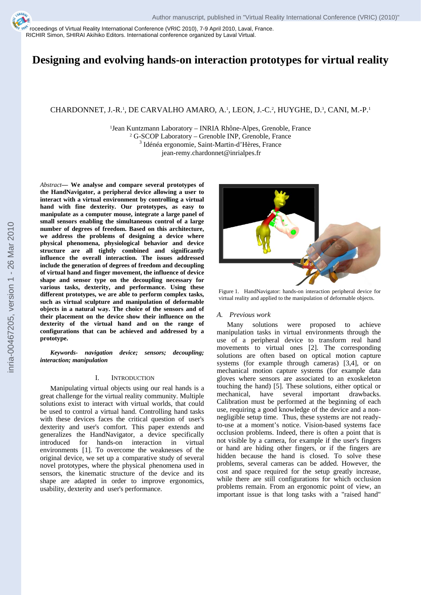[Pro](http://hal.archives-ouvertes.fr)ceedings of Virtual Reality International Conference (VRIC 2010), 7-9 April 2010, Laval, France. RICHIR Simon, SHIRAI Akihiko Editors. International conference organized by Laval Virtual.

# **Designing and evolving hands-on interaction prototypes for virtual reality**

# CHARDONNET, J.-R.<sup>1</sup>, DE CARVALHO AMARO, A.<sup>1</sup>, LEON, J.-C.<sup>2</sup>, HUYGHE, D.<sup>3</sup>, CANI, M.-P.<sup>1</sup>

<sup>1</sup>Jean Kuntzmann Laboratory – INRIA Rhône-Alpes, Grenoble, France<br><sup>2</sup> G-SCOP Laboratory – Grenoble INP, Grenoble, France <sup>3</sup> Idénéa ergonomie, Saint-Martin-d'Hères, France jean-remy.chardonnet@inrialpes.fr

*Abstract***— We analyse and compare several prototypes of the HandNavigator, a peripheral device allowing a user to interact with a virtual environment by controlling a virtual hand with fine dexterity. Our prototypes, as easy to manipulate as a computer mouse, integrate a large panel of small sensors enabling the simultaneous control of a large number of degrees of freedom. Based on this architecture, we address the problems of designing a device where physical phenomena, physiological behavior and device structure are all tightly combined and significantly influence the overall interaction. The issues addressed include the generation of degrees of freedom and decoupling of virtual hand and finger movement, the influence of device shape and sensor type on the decoupling necessary for various tasks, dexterity, and performance. Using these different prototypes, we are able to perform complex tasks, such as virtual sculpture and manipulation of deformable objects in a natural way. The choice of the sensors and of their placement on the device show their influence on the dexterity of the virtual hand and on the range of configurations that can be achieved and addressed by a prototype.** 

*Keywords- navigation device; sensors; decoupling; interaction; manipulation* 

#### I. INTRODUCTION

Manipulating virtual objects using our real hands is a great challenge for the virtual reality community. Multiple solutions exist to interact with virtual worlds, that could be used to control a virtual hand. Controlling hand tasks with these devices faces the critical question of user's dexterity and user's comfort. This paper extends and generalizes the HandNavigator, a device specifically introduced for hands-on interaction in virtual environments [1]. To overcome the weaknesses of the original device, we set up a comparative study of several novel prototypes, where the physical phenomena used in sensors, the kinematic structure of the device and its shape are adapted in order to improve ergonomics, usability, dexterity and user's performance.



Figure 1. HandNavigator: hands-on interaction peripheral device for virtual reality and applied to the manipulation of deformable objects.

#### *A. Previous work*

Many solutions were proposed to achieve manipulation tasks in virtual environments through the use of a peripheral device to transform real hand movements to virtual ones [2]. The corresponding solutions are often based on optical motion capture systems (for example through cameras) [3,4], or on mechanical motion capture systems (for example data gloves where sensors are associated to an exoskeleton touching the hand) [5]. These solutions, either optical or mechanical, have several important drawbacks. Calibration must be performed at the beginning of each use, requiring a good knowledge of the device and a nonnegligible setup time. Thus, these systems are not readyto-use at a moment's notice. Vision-based systems face occlusion problems. Indeed, there is often a point that is not visible by a camera, for example if the user's fingers or hand are hiding other fingers, or if the fingers are hidden because the hand is closed. To solve these problems, several cameras can be added. However, the cost and space required for the setup greatly increase, while there are still configurations for which occlusion problems remain. From an ergonomic point of view, an important issue is that long tasks with a "raised hand"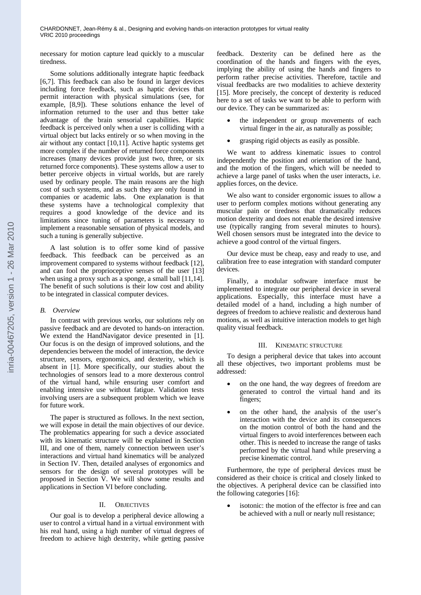necessary for motion capture lead quickly to a muscular tiredness.

Some solutions additionally integrate haptic feedback [6,7]. This feedback can also be found in larger devices including force feedback, such as haptic devices that permit interaction with physical simulations (see, for example, [8,9]). These solutions enhance the level of information returned to the user and thus better take advantage of the brain sensorial capabilities. Haptic feedback is perceived only when a user is colliding with a virtual object but lacks entirely or so when moving in the air without any contact [10,11]. Active haptic systems get more complex if the number of returned force components increases (many devices provide just two, three, or six returned force components). These systems allow a user to better perceive objects in virtual worlds, but are rarely used by ordinary people. The main reasons are the high cost of such systems, and as such they are only found in companies or academic labs. One explanation is that these systems have a technological complexity that requires a good knowledge of the device and its limitations since tuning of parameters is necessary to implement a reasonable sensation of physical models, and such a tuning is generally subjective.

A last solution is to offer some kind of passive feedback. This feedback can be perceived as an improvement compared to systems without feedback [12], and can fool the proprioceptive senses of the user [13] when using a proxy such as a sponge, a small ball [11,14]. The benefit of such solutions is their low cost and ability to be integrated in classical computer devices.

## *B. Overview*

In contrast with previous works, our solutions rely on passive feedback and are devoted to hands-on interaction. We extend the HandNavigator device presented in [1]. Our focus is on the design of improved solutions, and the dependencies between the model of interaction, the device structure, sensors, ergonomics, and dexterity, which is absent in [1]. More specifically, our studies about the technologies of sensors lead to a more dexterous control of the virtual hand, while ensuring user comfort and enabling intensive use without fatigue. Validation tests involving users are a subsequent problem which we leave for future work.

The paper is structured as follows. In the next section, we will expose in detail the main objectives of our device. The problematics appearing for such a device associated with its kinematic structure will be explained in Section III, and one of them, namely connection between user's interactions and virtual hand kinematics will be analyzed in Section IV. Then, detailed analyses of ergonomics and sensors for the design of several prototypes will be proposed in Section V. We will show some results and applications in Section VI before concluding.

# II. OBJECTIVES

Our goal is to develop a peripheral device allowing a user to control a virtual hand in a virtual environment with his real hand, using a high number of virtual degrees of freedom to achieve high dexterity, while getting passive

feedback. Dexterity can be defined here as the coordination of the hands and fingers with the eyes, implying the ability of using the hands and fingers to perform rather precise activities. Therefore, tactile and visual feedbacks are two modalities to achieve dexterity [15]. More precisely, the concept of dexterity is reduced here to a set of tasks we want to be able to perform with our device. They can be summarized as:

- the independent or group movements of each virtual finger in the air, as naturally as possible;
- grasping rigid objects as easily as possible.

We want to address kinematic issues to control independently the position and orientation of the hand, and the motion of the fingers, which will be needed to achieve a large panel of tasks when the user interacts, i.e. applies forces, on the device.

We also want to consider ergonomic issues to allow a user to perform complex motions without generating any muscular pain or tiredness that dramatically reduces motion dexterity and does not enable the desired intensive use (typically ranging from several minutes to hours). Well chosen sensors must be integrated into the device to achieve a good control of the virtual fingers.

Our device must be cheap, easy and ready to use, and calibration free to ease integration with standard computer devices.

Finally, a modular software interface must be implemented to integrate our peripheral device in several applications. Especially, this interface must have a detailed model of a hand, including a high number of degrees of freedom to achieve realistic and dexterous hand motions, as well as intuitive interaction models to get high quality visual feedback.

#### III. KINEMATIC STRUCTURE

To design a peripheral device that takes into account all these objectives, two important problems must be addressed:

- on the one hand, the way degrees of freedom are generated to control the virtual hand and its fingers;
- on the other hand, the analysis of the user's interaction with the device and its consequences on the motion control of both the hand and the virtual fingers to avoid interferences between each other. This is needed to increase the range of tasks performed by the virtual hand while preserving a precise kinematic control.

Furthermore, the type of peripheral devices must be considered as their choice is critical and closely linked to the objectives. A peripheral device can be classified into the following categories [16]:

 isotonic: the motion of the effector is free and can be achieved with a null or nearly null resistance;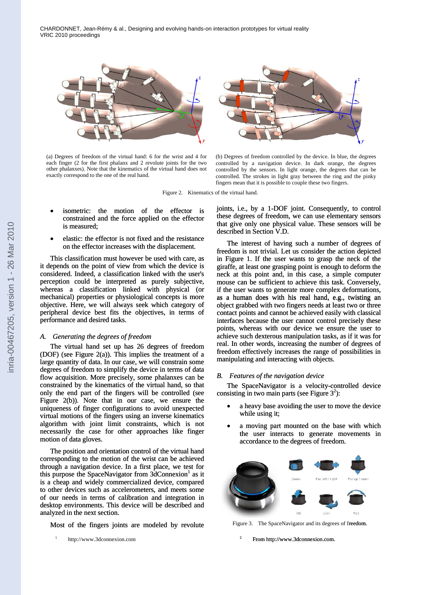

(a) Degrees of freedom of the virtual hand: 6 for the wrist and 4 for each finger (2 for the first phalanx and 2 revolute joints for the two other phalanxes). Note that the kinematics of the virtual hand does not exactly correspond to the one of the real hand.

(b) Degrees of freedom controlled by the device. In blue, the degrees controlled by a navigation device. In dark orange, the degrees controlled by the sensors. In light orange, the degrees that can be controlled. The strokes in light gray between the ring and the pinky fingers mean that it is possible to couple these two fingers.

Figure 2. Kinematics of the virtual hand.

- isometric: the motion of the effector is constrained and the force applied on the effector is measured;
- elastic: the effector is not fixed and the resistance on the effector increases with the displacement.

This classification must however be used with care, as it depends on the point of view from which the device is considered. Indeed, a classification linked with the user's perception could be interpreted as purely subjective, whereas a classification linked with physical (or mechanical) properties or physiological concepts is more mechanical) properties or physiological concepts is more objective. Here, we will always seek which category of peripheral device best fits the objectives, in terms of performance and desired tasks.

#### *A. Generating the degrees of freedom*

The virtual hand set up has 26 degrees of freedom (DOF) (see Figure 2(a)). This implies the treatment of a large quantity of data. In our case, we will constrain some degrees of freedom to simplify the device in terms of data flow acquisition. More precisely, some phalanxes can be constrained by the kinematics of the virtual hand, so that only the end part of the fingers will be controlled (see Figure 2(b)). Note that in our case, we ensure the uniqueness of finger configurations to avoid unexpected virtual motions of the fingers using an inverse kinematics algorithm with joint limit constraints, which is not necessarily the case for other approaches like finger motion of data gloves.

The position and orientation control of the virtual hand corresponding to the motion of the wrist can be achieved through a navigation device. In a first place, we test for this purpose the SpaceNavigator from 3dConnexion<sup>1</sup> as it<br>
is a cheap and widely commercialized device, compared<br>
to other devices such as accelerometers, and meets some<br>
of our needs in terms of calibration and integratio is a cheap and widely commercialized device, compared to other devices such as accelerometers, and meets some of our needs in terms of calibration and integration in desktop environments. This device will be described and analyzed in the next section.

joints, i.e., by a 1-DOF joint. Consequently, to control these degrees of freedom, we can use elementary sensors that give only one physical value. These sensors will be described in Section V.D.

The interest of having such a number of degrees of freedom is not trivial. Let us consider the action depicted in Figure 1. If the user wants to grasp the neck of the giraffe, at least one grasping point is enough to deform the neck at this point and, in this case, a simple computer mouse can be sufficient to achieve this task. Conversely, if the user wants to generate more complex deformations, as a human does with his real hand, e.g., twisting an object grabbed with two fingers needs at least two or three contact points and cannot be achieved easily with classical interfaces because the user cannot control precisely these points, whereas with our device we ensure the user to achieve such dexterous manipulation tasks, as if it was for real. In other words, increasing the number of degrees of freedom effectively increases the range of possibilities in manipulating and interacting with objects.

## *B. Features of the navigation device*

The SpaceNavigator is a velocity-controlled device consisting in two main parts (see Figure  $3^2$ ):

- a heavy base avoiding the user to move the device while using it;
- a moving part mounted on the base with which the user interacts to generate movements in accordance to the degrees of freedom.



Figure 3. The SpaceNavigator and its degrees of freedom.

2 From http://www.3dconnexion.com.

<sup>1</sup> http://www.3dconnexion.com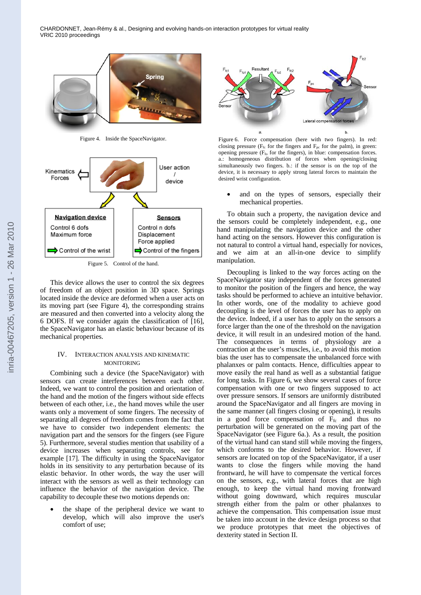



Figure 5. Control of the hand.

This device allows the user to control the six degrees of freedom of an object position in 3D space. Springs located inside the device are deformed when a user acts on its moving part (see Figure 4), the corresponding strains are measured and then converted into a velocity along the 6 DOFS. If we consider again the classification of [16], the SpaceNavigator has an elastic behaviour because of its mechanical properties.

#### IV. INTERACTION ANALYSIS AND KINEMATIC MONITORING

Combining such a device (the SpaceNavigator) with sensors can create interferences between each other. Indeed, we want to control the position and orientation of the hand and the motion of the fingers without side effects between of each other, i.e., the hand moves while the user wants only a movement of some fingers. The necessity of separating all degrees of freedom comes from the fact that we have to consider two independent elements: the navigation part and the sensors for the fingers (see Figure 5). Furthermore, several studies mention that usability of a device increases when separating controls, see for example [17]. The difficulty in using the SpaceNavigator holds in its sensitivity to any perturbation because of its elastic behavior. In other words, the way the user will interact with the sensors as well as their technology can influence the behavior of the navigation device. The capability to decouple these two motions depends on:

 the shape of the peripheral device we want to develop, which will also improve the user's comfort of use;



Figure 4. Inside the SpaceNavigator. Figure 6. Force compensation (here with two fingers). In red: closing pressure ( $F_{fc}$  for the fingers and  $F_{pc}$  for the palm), in green: opening pressure ( $F_{\text{fo}}$  for the fingers), in blue: compensation forces. a.: homogeneous distribution of forces when opening/closing simultaneously two fingers. b.: if the sensor is on the top of the device, it is necessary to apply strong lateral forces to maintain the desired wrist configuration.

• and on the types of sensors, especially their mechanical properties.

To obtain such a property, the navigation device and the sensors could be completely independent, e.g., one hand manipulating the navigation device and the other hand acting on the sensors. However this configuration is not natural to control a virtual hand, especially for novices, and we aim at an all-in-one device to simplify manipulation.

Decoupling is linked to the way forces acting on the SpaceNavigator stay independent of the forces generated to monitor the position of the fingers and hence, the way tasks should be performed to achieve an intuitive behavior. In other words, one of the modality to achieve good decoupling is the level of forces the user has to apply on the device. Indeed, if a user has to apply on the sensors a force larger than the one of the threshold on the navigation device, it will result in an undesired motion of the hand. The consequences in terms of physiology are a contraction at the user's muscles, i.e., to avoid this motion bias the user has to compensate the unbalanced force with phalanxes or palm contacts. Hence, difficulties appear to move easily the real hand as well as a substantial fatigue for long tasks. In Figure 6, we show several cases of force compensation with one or two fingers supposed to act over pressure sensors. If sensors are uniformly distributed around the SpaceNavigator and all fingers are moving in the same manner (all fingers closing or opening), it results in a good force compensation of  $F_{fc}$  and thus no perturbation will be generated on the moving part of the SpaceNavigator (see Figure 6a.). As a result, the position of the virtual hand can stand still while moving the fingers, which conforms to the desired behavior. However, if sensors are located on top of the SpaceNavigator, if a user wants to close the fingers while moving the hand frontward, he will have to compensate the vertical forces on the sensors, e.g., with lateral forces that are high enough, to keep the virtual hand moving frontward without going downward, which requires muscular strength either from the palm or other phalanxes to achieve the compensation. This compensation issue must be taken into account in the device design process so that we produce prototypes that meet the objectives of dexterity stated in Section II.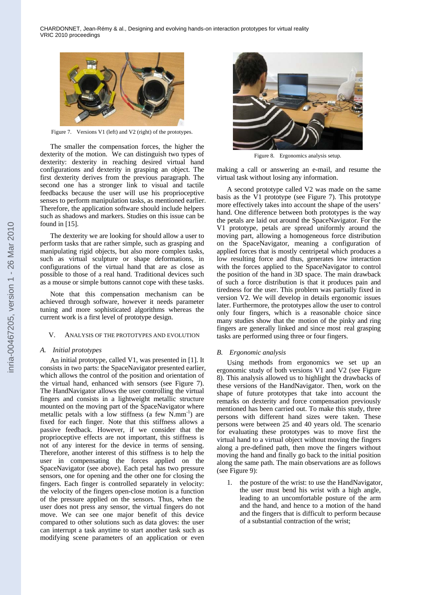

Figure 7. Versions V1 (left) and V2 (right) of the prototypes.

The smaller the compensation forces, the higher the dexterity of the motion. We can distinguish two types of dexterity: dexterity in reaching desired virtual hand configurations and dexterity in grasping an object. The first dexterity derives from the previous paragraph. The second one has a stronger link to visual and tactile feedbacks because the user will use his proprioceptive senses to perform manipulation tasks, as mentioned earlier. Therefore, the application software should include helpers such as shadows and markers. Studies on this issue can be found in [15].

The dexterity we are looking for should allow a user to perform tasks that are rather simple, such as grasping and manipulating rigid objects, but also more complex tasks, such as virtual sculpture or shape deformations, in configurations of the virtual hand that are as close as possible to those of a real hand. Traditional devices such as a mouse or simple buttons cannot cope with these tasks.

Note that this compensation mechanism can be achieved through software, however it needs parameter tuning and more sophisticated algorithms whereas the current work is a first level of prototype design.

#### V. ANALYSIS OF THE PROTOTYPES AND EVOLUTION

### *A. Initial prototypes*

An initial prototype, called V1, was presented in [1]. It consists in two parts: the SpaceNavigator presented earlier, which allows the control of the position and orientation of the virtual hand, enhanced with sensors (see Figure 7). The HandNavigator allows the user controlling the virtual fingers and consists in a lightweight metallic structure mounted on the moving part of the SpaceNavigator where metallic petals with a low stiffness (a few  $N/mm^{-1}$ ) are fixed for each finger. Note that this stiffness allows a passive feedback. However, if we consider that the proprioceptive effects are not important, this stiffness is not of any interest for the device in terms of sensing. Therefore, another interest of this stiffness is to help the user in compensating the forces applied on the SpaceNavigator (see above). Each petal has two pressure sensors, one for opening and the other one for closing the fingers. Each finger is controlled separately in velocity: the velocity of the fingers open-close motion is a function of the pressure applied on the sensors. Thus, when the user does not press any sensor, the virtual fingers do not move. We can see one major benefit of this device compared to other solutions such as data gloves: the user can interrupt a task anytime to start another task such as modifying scene parameters of an application or even



Figure 8. Ergonomics analysis setup.

making a call or answering an e-mail, and resume the virtual task without losing any information.

A second prototype called V2 was made on the same basis as the V1 prototype (see Figure 7). This prototype more effectively takes into account the shape of the users' hand. One difference between both prototypes is the way the petals are laid out around the SpaceNavigator. For the V1 prototype, petals are spread uniformly around the moving part, allowing a homogeneous force distribution on the SpaceNavigator, meaning a configuration of applied forces that is mostly centripetal which produces a low resulting force and thus, generates low interaction with the forces applied to the SpaceNavigator to control the position of the hand in 3D space. The main drawback of such a force distribution is that it produces pain and tiredness for the user. This problem was partially fixed in version V2. We will develop in details ergonomic issues later. Furthermore, the prototypes allow the user to control only four fingers, which is a reasonable choice since many studies show that the motion of the pinky and ring fingers are generally linked and since most real grasping tasks are performed using three or four fingers.

#### *B. Ergonomic analysis*

Using methods from ergonomics we set up an ergonomic study of both versions V1 and V2 (see Figure 8). This analysis allowed us to highlight the drawbacks of these versions of the HandNavigator. Then, work on the shape of future prototypes that take into account the remarks on dexterity and force compensation previously mentioned has been carried out. To make this study, three persons with different hand sizes were taken. These persons were between 25 and 40 years old. The scenario for evaluating these prototypes was to move first the virtual hand to a virtual object without moving the fingers along a pre-defined path, then move the fingers without moving the hand and finally go back to the initial position along the same path. The main observations are as follows (see Figure 9):

1. the posture of the wrist: to use the HandNavigator, the user must bend his wrist with a high angle, leading to an uncomfortable posture of the arm and the hand, and hence to a motion of the hand and the fingers that is difficult to perform because of a substantial contraction of the wrist;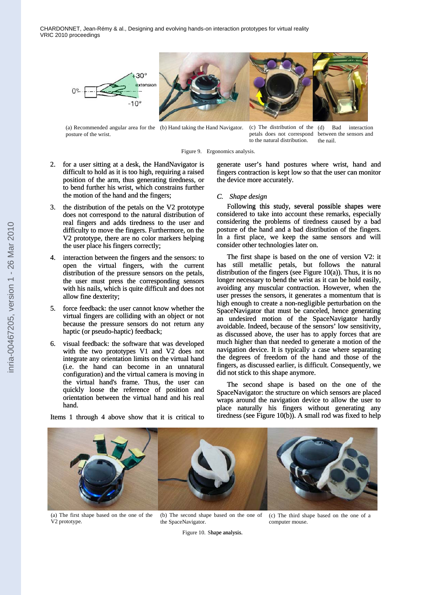

(a) Recommended angular area for the (b) Hand taking the Hand Navigator. posture of the wrist.

(c) The distribution of the (d) Bad interaction petals does not correspond between the sensors and to the natural distribution. the nail.

#### Figure 9. Ergonomics analysis.

- 2. for a user sitting at a desk, the HandNavigator is difficult to hold as it is too high, requiring a raised position of the arm, thus generating tiredness, or to bend further his wrist, which constrains further the motion of the hand and the fingers;
- 3. the distribution of the petals on the V2 prototype does not correspond to the natural distribution of real fingers and adds tiredness to the user and difficulty to move the fingers. Furthermore, on the V2 prototype, there are no color markers helping the user place his fingers correctly;
- 4. interaction between the fingers and the sensors: to open the virtual fingers, with the current distribution of the pressure sensors on the petals, the user must press the corresponding sensors with his nails, which is quite difficult and does not allow fine dexterity;
- 5. force feedback: the user cannot know whether the virtual fingers are colliding with an object or not because the pressure sensors do not return any haptic (or pseudo-haptic) feedback;
- 6. visual feedback: the software that was developed with the two prototypes V1 and V2 does not integrate any orientation limits on the virtual hand (i.e. the hand can become in an unnatural configuration) and the virtual camera is moving in the virtual hand's frame. Thus, the user can quickly loose the reference of position and orientation between the virtual hand and his real hand. with the two prototypes V1 and V2 does not<br>integrate any orientation limits on the virtual hand<br>(i.e. the hand can become in an unnatural<br>configuration) and the virtual camera is moving in<br>the virtual hand's frame. Thus, t

generate user's hand postures where wrist, hand and fingers contraction is kept low so that the user can monitor the device more accurately.

# *C. Shape design*

Following this study, several possible shapes were considered to take into account these remarks, especially considering the problems of tiredness caused by a bad posture of the hand and a bad distribution of the fingers. In a first place, we keep the same sensors and will consider other technologies later on.

The first shape is based on the one of version V2: it has still metallic petals, but follows the natural distribution of the fingers (see Figure 10(a)). Thus, it is no longer necessary to bend the wrist as it can be hold easily, avoiding any muscular contraction. However, when the user presses the sensors, it generates a momentum that is high enough to create a non-negligible perturbation on the SpaceNavigator that must be canceled, hence generating an undesired motion of the SpaceNavigator hardly avoidable. Indeed, because of the sensors' low sensitivity, as discussed above, the user has to apply forces that are much higher than that needed to generate a motion of the navigation device. It is typically a case where separating the degrees of freedom of the hand and those of the fingers, as discussed earlier, is difficult. Consequently, we did not stick to this shape anymore. avoiding any muscular contraction. However, when the user presses the sensors, it generates a momentum that is high enough to create a non-negligible perturbation on the SpaceNavigator that must be canceled, hence generati

SpaceNavigator: the structure on which sensors are placed wraps around the navigation device to allow the user to place naturally his fingers without generating any tiredness (see Figure 10(b)). A small rod was fixed to help



(a) The first shape based on the one of the V2 prototype.

(b) The second shape based on the one of the SpaceNavigator.

(c) The third shape based on the one of a computer mouse.

Figure 10. Shape analysis.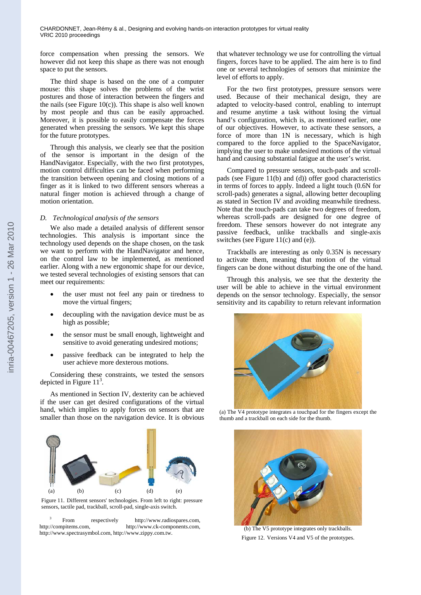force compensation when pressing the sensors. We however did not keep this shape as there was not enough space to put the sensors.

The third shape is based on the one of a computer mouse: this shape solves the problems of the wrist postures and those of interaction between the fingers and the nails (see Figure  $10(c)$ ). This shape is also well known by most people and thus can be easily approached. Moreover, it is possible to easily compensate the forces generated when pressing the sensors. We kept this shape for the future prototypes.

Through this analysis, we clearly see that the position of the sensor is important in the design of the HandNavigator. Especially, with the two first prototypes, motion control difficulties can be faced when performing the transition between opening and closing motions of a finger as it is linked to two different sensors whereas a natural finger motion is achieved through a change of motion orientation.

#### *D. Technological analysis of the sensors*

We also made a detailed analysis of different sensor technologies. This analysis is important since the technology used depends on the shape chosen, on the task we want to perform with the HandNavigator and hence, on the control law to be implemented, as mentioned earlier. Along with a new ergonomic shape for our device, we tested several technologies of existing sensors that can meet our requirements:

- the user must not feel any pain or tiredness to move the virtual fingers;
- decoupling with the navigation device must be as high as possible;
- the sensor must be small enough, lightweight and sensitive to avoid generating undesired motions;
- passive feedback can be integrated to help the user achieve more dexterous motions.

Considering these constraints, we tested the sensors depicted in Figure  $11<sup>3</sup>$ .

As mentioned in Section IV, dexterity can be achieved if the user can get desired configurations of the virtual hand, which implies to apply forces on sensors that are smaller than those on the navigation device. It is obvious



Figure 11. Different sensors' technologies. From left to right: pressure sensors, tactile pad, trackball, scroll-pad, single-axis switch.

From respectively http://www.radiospares.com. http://compitems.com, http://www.ck-components.com, http://www.spectrasymbol.com, http://www.zippy.com.tw.

that whatever technology we use for controlling the virtual fingers, forces have to be applied. The aim here is to find one or several technologies of sensors that minimize the level of efforts to apply.

For the two first prototypes, pressure sensors were used. Because of their mechanical design, they are adapted to velocity-based control, enabling to interrupt and resume anytime a task without losing the virtual hand's configuration, which is, as mentioned earlier, one of our objectives. However, to activate these sensors, a force of more than 1N is necessary, which is high compared to the force applied to the SpaceNavigator, implying the user to make undesired motions of the virtual hand and causing substantial fatigue at the user's wrist.

Compared to pressure sensors, touch-pads and scrollpads (see Figure 11(b) and (d)) offer good characteristics in terms of forces to apply. Indeed a light touch (0.6N for scroll-pads) generates a signal, allowing better decoupling as stated in Section IV and avoiding meanwhile tiredness. Note that the touch-pads can take two degrees of freedom, whereas scroll-pads are designed for one degree of freedom. These sensors however do not integrate any passive feedback, unlike trackballs and single-axis switches (see Figure 11(c) and (e)).

Trackballs are interesting as only 0.35N is necessary to activate them, meaning that motion of the virtual fingers can be done without disturbing the one of the hand.

Through this analysis, we see that the dexterity the user will be able to achieve in the virtual environment depends on the sensor technology. Especially, the sensor sensitivity and its capability to return relevant information



(a) The V4 prototype integrates a touchpad for the fingers except the thumb and a trackball on each side for the thumb.



(b) The V5 prototype integrates only trackballs. Figure 12. Versions V4 and V5 of the prototypes.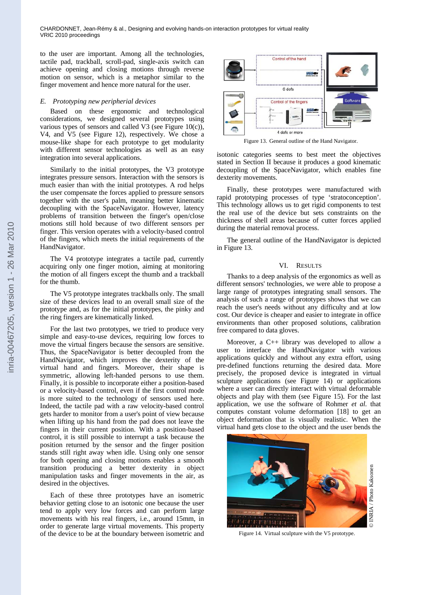to the user are important. Among all the technologies, tactile pad, trackball, scroll-pad, single-axis switch can achieve opening and closing motions through reverse motion on sensor, which is a metaphor similar to the finger movement and hence more natural for the user.

### *E. Prototyping new peripherial devices*

Based on these ergonomic and technological considerations, we designed several prototypes using various types of sensors and called V3 (see Figure 10(c)), V4, and V5 (see Figure 12), respectively. We chose a mouse-like shape for each prototype to get modularity with different sensor technologies as well as an easy integration into several applications.

Similarly to the initial prototypes, the V3 prototype integrates pressure sensors. Interaction with the sensors is much easier than with the initial prototypes. A rod helps the user compensate the forces applied to pressure sensors together with the user's palm, meaning better kinematic decoupling with the SpaceNavigator. However, latency problems of transition between the finger's open/close motions still hold because of two different sensors per finger. This version operates with a velocity-based control of the fingers, which meets the initial requirements of the HandNavigator.

The V4 prototype integrates a tactile pad, currently acquiring only one finger motion, aiming at monitoring the motion of all fingers except the thumb and a trackball for the thumb.

The V5 prototype integrates trackballs only. The small size of these devices lead to an overall small size of the prototype and, as for the initial prototypes, the pinky and the ring fingers are kinematically linked.

For the last two prototypes, we tried to produce very simple and easy-to-use devices, requiring low forces to move the virtual fingers because the sensors are sensitive. Thus, the SpaceNavigator is better decoupled from the HandNavigator, which improves the dexterity of the virtual hand and fingers. Moreover, their shape is symmetric, allowing left-handed persons to use them. Finally, it is possible to incorporate either a position-based or a velocity-based control, even if the first control mode is more suited to the technology of sensors used here. Indeed, the tactile pad with a raw velocity-based control gets harder to monitor from a user's point of view because when lifting up his hand from the pad does not leave the fingers in their current position. With a position-based control, it is still possible to interrupt a task because the position returned by the sensor and the finger position stands still right away when idle. Using only one sensor for both opening and closing motions enables a smooth transition producing a better dexterity in object manipulation tasks and finger movements in the air, as desired in the objectives.

Each of these three prototypes have an isometric behavior getting close to an isotonic one because the user tend to apply very low forces and can perform large movements with his real fingers, i.e., around 15mm, in order to generate large virtual movements. This property of the device to be at the boundary between isometric and



Figure 13. General outline of the Hand Navigator.

isotonic categories seems to best meet the objectives stated in Section II because it produces a good kinematic decoupling of the SpaceNavigator, which enables fine dexterity movements.

Finally, these prototypes were manufactured with rapid prototyping processes of type 'stratoconception'. This technology allows us to get rigid components to test the real use of the device but sets constraints on the thickness of shell areas because of cutter forces applied during the material removal process.

The general outline of the HandNavigator is depicted in Figure 13.

#### VI. RESULTS

Thanks to a deep analysis of the ergonomics as well as different sensors' technologies, we were able to propose a large range of prototypes integrating small sensors. The analysis of such a range of prototypes shows that we can reach the user's needs without any difficulty and at low cost. Our device is cheaper and easier to integrate in office environments than other proposed solutions, calibration free compared to data gloves.

Moreover, a C++ library was developed to allow a user to interface the HandNavigator with various applications quickly and without any extra effort, using pre-defined functions returning the desired data. More precisely, the proposed device is integrated in virtual sculpture applications (see Figure 14) or applications where a user can directly interact with virtual deformable objects and play with them (see Figure 15). For the last application, we use the software of Rohmer *et al.* that computes constant volume deformation [18] to get an object deformation that is visually realistic. When the virtual hand gets close to the object and the user bends the



Figure 14. Virtual sculpture with the V5 prototype.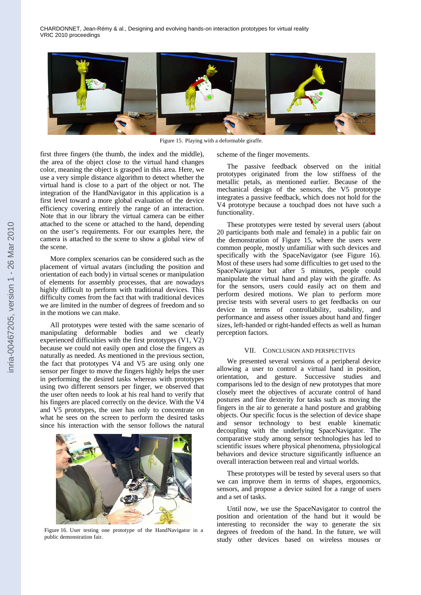

Figure 15. Playing with a deformable giraffe.

first three fingers (the thumb, the index and the middle), the area of the object close to the virtual hand changes color, meaning the object is grasped in this area. Here, we use a very simple distance algorithm to detect whether the virtual hand is close to a part of the object or not. The integration of the HandNavigator in this application is a first level toward a more global evaluation of the device efficiency covering entirely the range of an interaction. Note that in our library the virtual camera can be either attached to the scene or attached to the hand, depending on the user's requirements. For our examples here, the camera is attached to the scene to show a global view of the scene.

More complex scenarios can be considered such as the placement of virtual avatars (including the position and orientation of each body) in virtual scenes or manipulation of elements for assembly processes, that are nowadays highly difficult to perform with traditional devices. This difficulty comes from the fact that with traditional devices we are limited in the number of degrees of freedom and so in the motions we can make.

All prototypes were tested with the same scenario of manipulating deformable bodies and we clearly experienced difficulties with the first prototypes (V1, V2) because we could not easily open and close the fingers as naturally as needed. As mentioned in the previous section, the fact that prototypes V4 and V5 are using only one sensor per finger to move the fingers highly helps the user in performing the desired tasks whereas with prototypes using two different sensors per finger, we observed that the user often needs to look at his real hand to verify that his fingers are placed correctly on the device. With the V4 and V5 prototypes, the user has only to concentrate on what he sees on the screen to perform the desired tasks since his interaction with the sensor follows the natural



Figure 16. User testing one prototype of the HandNavigator in a public demonstration fair.

scheme of the finger movements.

The passive feedback observed on the initial prototypes originated from the low stiffness of the metallic petals, as mentioned earlier. Because of the mechanical design of the sensors, the V5 prototype integrates a passive feedback, which does not hold for the V4 prototype because a touchpad does not have such a functionality.

These prototypes were tested by several users (about 20 participants both male and female) in a public fair on the demonstration of Figure 15, where the users were common people, mostly unfamiliar with such devices and specifically with the SpaceNavigator (see Figure 16). Most of these users had some difficulties to get used to the SpaceNavigator but after 5 minutes, people could manipulate the virtual hand and play with the giraffe. As for the sensors, users could easily act on them and perform desired motions. We plan to perform more precise tests with several users to get feedbacks on our device in terms of controllability, usability, and performance and assess other issues about hand and finger sizes, left-handed or right-handed effects as well as human perception factors.

#### VII. CONCLUSION AND PERSPECTIVES

We presented several versions of a peripheral device allowing a user to control a virtual hand in position, orientation, and gesture. Successive studies and comparisons led to the design of new prototypes that more closely meet the objectives of accurate control of hand postures and fine dexterity for tasks such as moving the fingers in the air to generate a hand posture and grabbing objects. Our specific focus is the selection of device shape and sensor technology to best enable kinematic decoupling with the underlying SpaceNavigator. The comparative study among sensor technologies has led to scientific issues where physical phenomena, physiological behaviors and device structure significantly influence an overall interaction between real and virtual worlds.

These prototypes will be tested by several users so that we can improve them in terms of shapes, ergonomics, sensors, and propose a device suited for a range of users and a set of tasks.

Until now, we use the SpaceNavigator to control the position and orientation of the hand but it would be interesting to reconsider the way to generate the six degrees of freedom of the hand. In the future, we will study other devices based on wireless mouses or